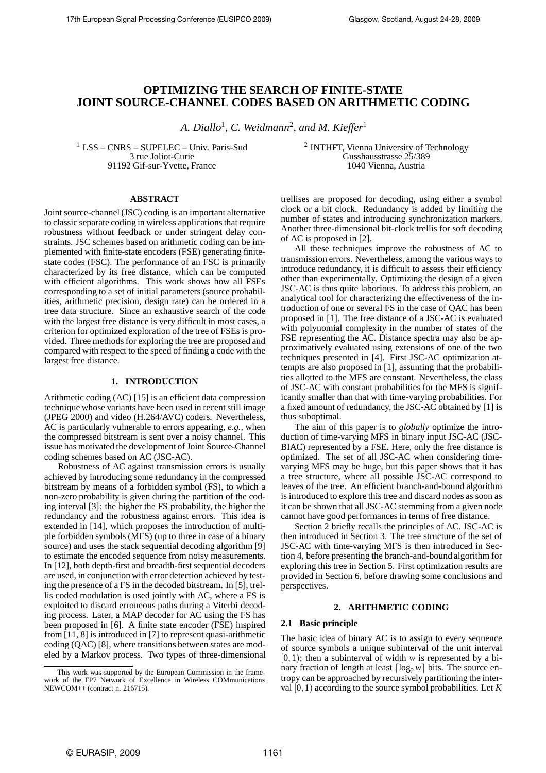# **OPTIMIZING THE SEARCH OF FINITE-STATE JOINT SOURCE-CHANNEL CODES BASED ON ARITHMETIC CODING**

*A. Diallo*<sup>1</sup> *, C. Weidmann*<sup>2</sup> *, and M. Kieffer*<sup>1</sup>

<sup>1</sup> LSS – CNRS – SUPELEC – Univ. Paris-Sud 3 rue Joliot-Curie 91192 Gif-sur-Yvette, France

<sup>2</sup> INTHFT, Vienna University of Technology Gusshausstrasse 25/389 1040 Vienna, Austria

## **ABSTRACT**

Joint source-channel (JSC) coding is an important alternative to classic separate coding in wireless applications that require robustness without feedback or under stringent delay constraints. JSC schemes based on arithmetic coding can be implemented with finite-state encoders (FSE) generating finitestate codes (FSC). The performance of an FSC is primarily characterized by its free distance, which can be computed with efficient algorithms. This work shows how all FSEs corresponding to a set of initial parameters (source probabilities, arithmetic precision, design rate) can be ordered in a tree data structure. Since an exhaustive search of the code with the largest free distance is very difficult in most cases, a criterion for optimized exploration of the tree of FSEs is provided. Three methods for exploring the tree are proposed and compared with respect to the speed of finding a code with the largest free distance.

### **1. INTRODUCTION**

Arithmetic coding (AC) [15] is an efficient data compression technique whose variants have been used in recent still image (JPEG 2000) and video (H.264/AVC) coders. Nevertheless, AC is particularly vulnerable to errors appearing, *e.g.*, when the compressed bitstream is sent over a noisy channel. This issue has motivated the development of Joint Source-Channel coding schemes based on AC (JSC-AC).

Robustness of AC against transmission errors is usually achieved by introducing some redundancy in the compressed bitstream by means of a forbidden symbol (FS), to which a non-zero probability is given during the partition of the coding interval [3]: the higher the FS probability, the higher the redundancy and the robustness against errors. This idea is extended in [14], which proposes the introduction of multiple forbidden symbols (MFS) (up to three in case of a binary source) and uses the stack sequential decoding algorithm [9] to estimate the encoded sequence from noisy measurements. In [12], both depth-first and breadth-first sequential decoders are used, in conjunction with error detection achieved by testing the presence of a FS in the decoded bitstream. In [5], trellis coded modulation is used jointly with AC, where a FS is exploited to discard erroneous paths during a Viterbi decoding process. Later, a MAP decoder for AC using the FS has been proposed in [6]. A finite state encoder (FSE) inspired from [11, 8] is introduced in [7] to represent quasi-arithmetic coding (QAC) [8], where transitions between states are modeled by a Markov process. Two types of three-dimensional trellises are proposed for decoding, using either a symbol clock or a bit clock. Redundancy is added by limiting the number of states and introducing synchronization markers. Another three-dimensional bit-clock trellis for soft decoding of AC is proposed in [2].

All these techniques improve the robustness of AC to transmission errors. Nevertheless, among the various waysto introduce redundancy, it is difficult to assess their efficiency other than experimentally. Optimizing the design of a given JSC-AC is thus quite laborious. To address this problem, an analytical tool for characterizing the effectiveness of the introduction of one or several FS in the case of QAC has been proposed in [1]. The free distance of a JSC-AC is evaluated with polynomial complexity in the number of states of the FSE representing the AC. Distance spectra may also be approximatively evaluated using extensions of one of the two techniques presented in [4]. First JSC-AC optimization attempts are also proposed in [1], assuming that the probabilities allotted to the MFS are constant. Nevertheless, the class of JSC-AC with constant probabilities for the MFS is significantly smaller than that with time-varying probabilities. For a fixed amount of redundancy, the JSC-AC obtained by [1] is thus suboptimal.

The aim of this paper is to *globally* optimize the introduction of time-varying MFS in binary input JSC-AC (JSC-BIAC) represented by a FSE. Here, only the free distance is optimized. The set of all JSC-AC when considering timevarying MFS may be huge, but this paper shows that it has a tree structure, where all possible JSC-AC correspond to leaves of the tree. An efficient branch-and-bound algorithm is introduced to explore this tree and discard nodes as soon as it can be shown that all JSC-AC stemming from a given node cannot have good performances in terms of free distance.

Section 2 briefly recalls the principles of AC. JSC-AC is then introduced in Section 3. The tree structure of the set of JSC-AC with time-varying MFS is then introduced in Section 4, before presenting the branch-and-bound algorithm for exploring this tree in Section 5. First optimization results are provided in Section 6, before drawing some conclusions and perspectives.

### **2. ARITHMETIC CODING**

### **2.1 Basic principle**

The basic idea of binary AC is to assign to every sequence of source symbols a unique subinterval of the unit interval  $[0,1)$ ; then a subinterval of width *w* is represented by a binary fraction of length at least  $\lceil \log_2{w} \rceil$  bits. The source entropy can be approached by recursively partitioning the interval [0,1) according to the source symbol probabilities. Let *K*

This work was supported by the European Commission in the framework of the FP7 Network of Excellence in Wireless COMmunications NEWCOM++ (contract n. 216715).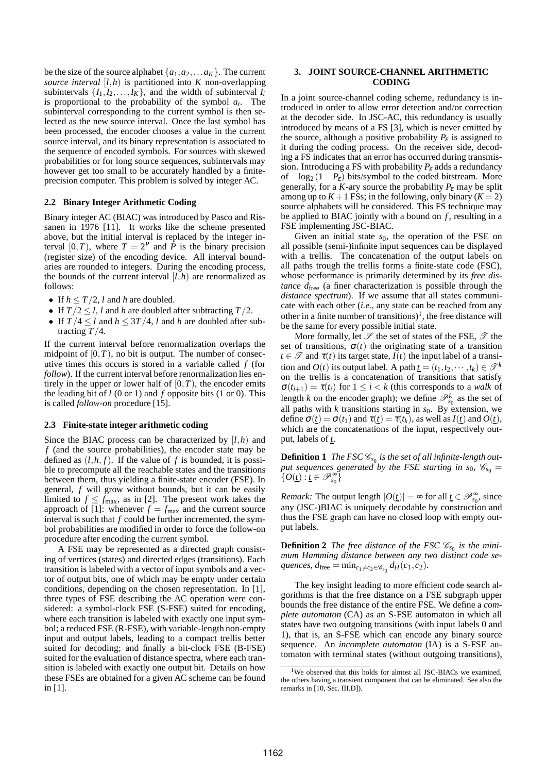be the size of the source alphabet  $\{a_1, a_2, \ldots a_K\}$ . The current *source interval*  $[l, h)$  is partitioned into  $K$  non-overlapping subintervals  $\{I_1, I_2, \ldots, I_K\}$ , and the width of subinterval  $I_i$ is proportional to the probability of the symbol *a<sup>i</sup>* . The subinterval corresponding to the current symbol is then selected as the new source interval. Once the last symbol has been processed, the encoder chooses a value in the current source interval, and its binary representation is associated to the sequence of encoded symbols. For sources with skewed probabilities or for long source sequences, subintervals may however get too small to be accurately handled by a finiteprecision computer. This problem is solved by integer AC.

### **2.2 Binary Integer Arithmetic Coding**

Binary integer AC (BIAC) was introduced by Pasco and Rissanen in 1976 [11]. It works like the scheme presented above, but the initial interval is replaced by the integer interval  $[0, T)$ , where  $T = 2^P$  and  $\tilde{P}$  is the binary precision (register size) of the encoding device. All interval boundaries are rounded to integers. During the encoding process, the bounds of the current interval  $[l,h]$  are renormalized as follows:

- If  $h \leq T/2$ , *l* and *h* are doubled.
- If  $T/2 < l$ , *l* and *h* are doubled after subtracting  $T/2$ .
- If  $T/4 \leq l$  and  $h \leq 3T/4$ , *l* and *h* are doubled after subtracting *T*/4.

If the current interval before renormalization overlaps the midpoint of  $[0, T)$ , no bit is output. The number of consecutive times this occurs is stored in a variable called *f* (for *follow*). If the current interval before renormalization lies entirely in the upper or lower half of  $[0, T)$ , the encoder emits the leading bit of *l* (0 or 1) and *f* opposite bits (1 or 0). This is called *follow-on* procedure [15].

### **2.3 Finite-state integer arithmetic coding**

Since the BIAC process can be characterized by [*l*,*h*) and *f* (and the source probabilities), the encoder state may be defined as  $(l, h, f)$ . If the value of f is bounded, it is possible to precompute all the reachable states and the transitions between them, thus yielding a finite-state encoder (FSE). In general, *f* will grow without bounds, but it can be easily limited to  $f \le f_{\text{max}}$ , as in [2]. The present work takes the approach of [1]: whenever  $f = f_{\text{max}}$  and the current source interval is such that *f* could be further incremented, the symbol probabilities are modified in order to force the follow-on procedure after encoding the current symbol.

A FSE may be represented as a directed graph consisting of vertices (states) and directed edges (transitions). Each transition is labeled with a vector of input symbols and a vector of output bits, one of which may be empty under certain conditions, depending on the chosen representation. In [1], three types of FSE describing the AC operation were considered: a symbol-clock FSE (S-FSE) suited for encoding, where each transition is labeled with exactly one input symbol; a reduced FSE (R-FSE), with variable-length non-empty input and output labels, leading to a compact trellis better suited for decoding; and finally a bit-clock FSE (B-FSE) suited for the evaluation of distance spectra, where each transition is labeled with exactly one output bit. Details on how these FSEs are obtained for a given AC scheme can be found in [1].

### **3. JOINT SOURCE-CHANNEL ARITHMETIC CODING**

In a joint source-channel coding scheme, redundancy is introduced in order to allow error detection and/or correction at the decoder side. In JSC-AC, this redundancy is usually introduced by means of a FS [3], which is never emitted by the source, although a positive probability  $P_{\varepsilon}$  is assigned to it during the coding process. On the receiver side, decoding a FS indicates that an error has occurred during transmission. Introducing a FS with probability *P*<sup>ε</sup> adds a redundancy of  $-\log_2(1-P_{\epsilon})$  bits/symbol to the coded bitstream. More generally, for a *K*-ary source the probability  $P_{\varepsilon}$  may be split among up to  $K+1$  FSs; in the following, only binary ( $K=2$ ) source alphabets will be considered. This FS technique may be applied to BIAC jointly with a bound on *f*, resulting in a FSE implementing JSC-BIAC.

Given an initial state  $s_0$ , the operation of the FSE on all possible (semi-)infinite input sequences can be displayed with a trellis. The concatenation of the output labels on all paths trough the trellis forms a finite-state code (FSC), whose performance is primarily determined by its *free distance d*<sub>free</sub> (a finer characterization is possible through the *distance spectrum*). If we assume that all states communicate with each other (*i.e.*, any state can be reached from any other in a finite number of transitions)<sup>1</sup>, the free distance will be the same for every possible initial state.

More formally, let  $\mathscr S$  the set of states of the FSE,  $\mathscr T$  the set of transitions,  $\sigma(t)$  the originating state of a transition *t*  $\in \mathcal{T}$  and  $\tau(t)$  its target state, *I*(*t*) the input label of a transition and  $O(t)$  its output label. A path  $\underline{t} = (t_1, t_2, \dots, t_k) \in \mathcal{F}^k$ on the trellis is a concatenation of transitions that satisfy  $\sigma(t_{i+1}) = \tau(t_i)$  for  $1 \leq i < k$  (this corresponds to a *walk* of length *k* on the encoder graph); we define  $\mathcal{P}_{s_0}^k$  as the set of all paths with  $k$  transitions starting in  $s<sub>0</sub>$ . By extension, we define  $\sigma(t) = \sigma(t_1)$  and  $\tau(t) = \tau(t_k)$ , as well as  $I(t)$  and  $O(t)$ , which are the concatenations of the input, respectively output, labels of *t*.

**Definition 1** The FSC  $\mathscr{C}_{s_0}$  is the set of all infinite-length out*put sequences generated by the FSE starting in*  $s_0$ *,*  $\mathcal{C}_{s_0}$  *=*  $\{O(t): t \in \mathscr{P}_{s_0}^{\infty}\}\$ 

*Remark:* The output length  $|O(\underline{t})| = \infty$  for all  $\underline{t} \in \mathcal{P}_{s_0}^{\infty}$ , since any (JSC-)BIAC is uniquely decodable by construction and thus the FSE graph can have no closed loop with empty output labels.

**Definition 2** The free distance of the FSC  $\mathscr{C}_{s_0}$  is the mini*mum Hamming distance between any two distinct code se-* $\alpha$ *quences,*  $d_{\text{free}} = \min_{c_1 \neq c_2 \in \mathscr{C}_{s_0}} d_H(c_1, c_2)$ .

The key insight leading to more efficient code search algorithms is that the free distance on a FSE subgraph upper bounds the free distance of the entire FSE. We define a *complete automaton* (CA) as an S-FSE automaton in which all states have two outgoing transitions (with input labels 0 and 1), that is, an S-FSE which can encode any binary source sequence. An *incomplete automaton* (IA) is a S-FSE automaton with terminal states (without outgoing transitions),

<sup>&</sup>lt;sup>1</sup>We observed that this holds for almost all JSC-BIACs we examined, the others having a transient component that can be eliminated. See also the remarks in [10, Sec. III.D]).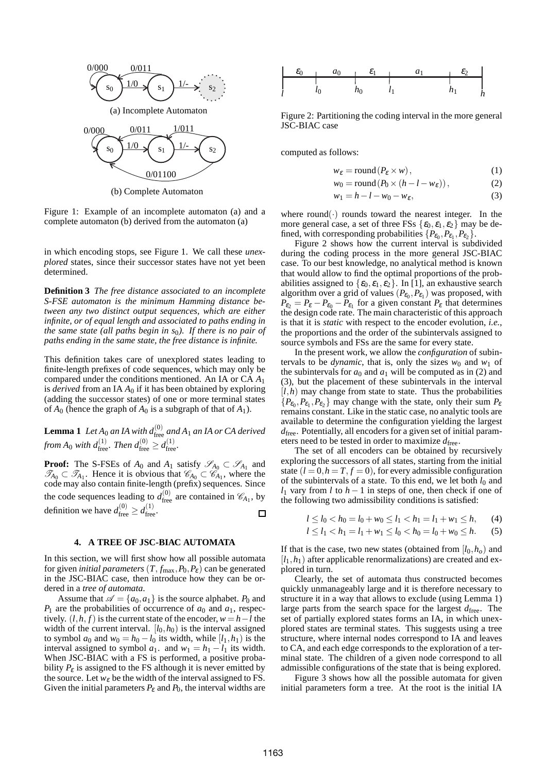

(b) Complete Automaton

Figure 1: Example of an incomplete automaton (a) and a complete automaton (b) derived from the automaton (a)

in which encoding stops, see Figure 1. We call these *unexplored* states, since their successor states have not yet been determined.

**Definition 3** *The free distance associated to an incomplete S-FSE automaton is the minimum Hamming distance between any two distinct output sequences, which are either infinite, or of equal length and associated to paths ending in the same state (all paths begin in s*0*). If there is no pair of paths ending in the same state, the free distance is infinite.*

This definition takes care of unexplored states leading to finite-length prefixes of code sequences, which may only be compared under the conditions mentioned. An IA or CA *A*<sup>1</sup> is *derived* from an IA  $A_0$  if it has been obtained by exploring (adding the successor states) of one or more terminal states of  $A_0$  (hence the graph of  $A_0$  is a subgraph of that of  $A_1$ ).

**Lemma 1** Let  $A_0$  an IA with  $d_{\text{free}}^{(0)}$  and  $A_1$  an IA or CA derived *from*  $A_0$  *with*  $d_{\text{free}}^{(1)}$ *. Then*  $d_{\text{free}}^{(0)} \geq d_{\text{free}}^{(1)}$ *.* 

**Proof:** The S-FSEs of  $A_0$  and  $A_1$  satisfy  $\mathscr{S}_{A_0} \subset \mathscr{S}_{A_1}$  and  $\mathscr{T}_{A_0} \subset \mathscr{T}_{A_1}$ . Hence it is obvious that  $\mathscr{C}_{A_0} \subset \mathscr{C}_{A_1}$ , where the code may also contain finite-length (prefix) sequences. Since the code sequences leading to  $d_{\text{free}}^{(0)}$  are contained in  $\mathcal{C}_{A_1}$ , by definition we have  $d_{\text{free}}^{(0)} \geq d_{\text{free}}^{(1)}$ .  $\Box$ 

### **4. A TREE OF JSC-BIAC AUTOMATA**

In this section, we will first show how all possible automata for given *initial parameters*  $(T, f_{\text{max}}, P_0, P_{\epsilon})$  can be generated in the JSC-BIAC case, then introduce how they can be ordered in a *tree of automata*.

Assume that  $\mathscr{A} = \{a_0, a_1\}$  is the source alphabet.  $P_0$  and  $P_1$  are the probabilities of occurrence of  $a_0$  and  $a_1$ , respectively.  $(l, h, f)$  is the current state of the encoder,  $w = h - l$  the width of the current interval.  $[l_0, h_0)$  is the interval assigned to symbol  $a_0$  and  $w_0 = h_0 - l_0$  its width, while  $[l_1, h_1]$  is the interval assigned to symbol  $a_1$ . and  $w_1 = h_1 - l_1$  its width. When JSC-BIAC with a FS is performed, a positive probability  $P_{\varepsilon}$  is assigned to the FS although it is never emitted by the source. Let  $w_{\varepsilon}$  be the width of the interval assigned to FS. Given the initial parameters  $P_{\varepsilon}$  and  $P_0$ , the interval widths are



Figure 2: Partitioning the coding interval in the more general JSC-BIAC case

computed as follows:

$$
w_{\varepsilon} = \text{round}(P_{\varepsilon} \times w), \tag{1}
$$

$$
w_0 = \text{round}(P_0 \times (h - l - w_{\varepsilon}))\,,\tag{2}
$$

$$
w_1 = h - l - w_0 - w_{\varepsilon},\tag{3}
$$

where round( $\cdot$ ) rounds toward the nearest integer. In the more general case, a set of three FSs  $\{\varepsilon_0, \varepsilon_1, \varepsilon_2\}$  may be defined, with corresponding probabilities  $\{P_{\epsilon_0}, P_{\epsilon_1}, P_{\epsilon_2}\}\.$ 

Figure 2 shows how the current interval is subdivided during the coding process in the more general JSC-BIAC case. To our best knowledge, no analytical method is known that would allow to find the optimal proportions of the probabilities assigned to  $\{\varepsilon_0, \varepsilon_1, \varepsilon_2\}$ . In [1], an exhaustive search algorithm over a grid of values  $(P_{\epsilon_0}, P_{\epsilon_1})$  was proposed, with  $P_{\epsilon_2} = P_{\epsilon} - P_{\epsilon_0} - P_{\epsilon_1}$  for a given constant  $P_{\epsilon}$  that determines the design code rate. The main characteristic of this approach is that it is *static* with respect to the encoder evolution, *i.e.*, the proportions and the order of the subintervals assigned to source symbols and FSs are the same for every state.

In the present work, we allow the *configuration* of subintervals to be *dynamic*, that is, only the sizes  $w_0$  and  $w_1$  of the subintervals for  $a_0$  and  $a_1$  will be computed as in (2) and (3), but the placement of these subintervals in the interval  $[l, h)$  may change from state to state. Thus the probabilities  ${P_{\epsilon_0}, P_{\epsilon_1}, P_{\epsilon_2}}$  may change with the state, only their sum  $P_{\epsilon}$ remains constant. Like in the static case, no analytic tools are available to determine the configuration yielding the largest *d*free. Potentially, all encoders for a given set of initial parameters need to be tested in order to maximize  $d_{\text{free}}$ .

The set of all encoders can be obtained by recursively exploring the successors of all states, starting from the initial state  $(l = 0, h = T, f = 0)$ , for every admissible configuration of the subintervals of a state. To this end, we let both  $l_0$  and *l*<sub>1</sub> vary from *l* to *h* − 1 in steps of one, then check if one of the following two admissibility conditions is satisfied:

$$
l \le l_0 < h_0 = l_0 + w_0 \le l_1 < h_1 = l_1 + w_1 \le h,\qquad(4)
$$

$$
l \le l_1 < h_1 = l_1 + w_1 \le l_0 < h_0 = l_0 + w_0 \le h. \tag{5}
$$

If that is the case, two new states (obtained from  $[l_0, h_0]$ ) and  $[l_1, h_1]$  after applicable renormalizations) are created and explored in turn.

Clearly, the set of automata thus constructed becomes quickly unmanageably large and it is therefore necessary to structure it in a way that allows to exclude (using Lemma 1) large parts from the search space for the largest  $d_{\text{free}}$ . The set of partially explored states forms an IA, in which unexplored states are terminal states. This suggests using a tree structure, where internal nodes correspond to IA and leaves to CA, and each edge corresponds to the exploration of a terminal state. The children of a given node correspond to all admissible configurations of the state that is being explored.

Figure 3 shows how all the possible automata for given initial parameters form a tree. At the root is the initial IA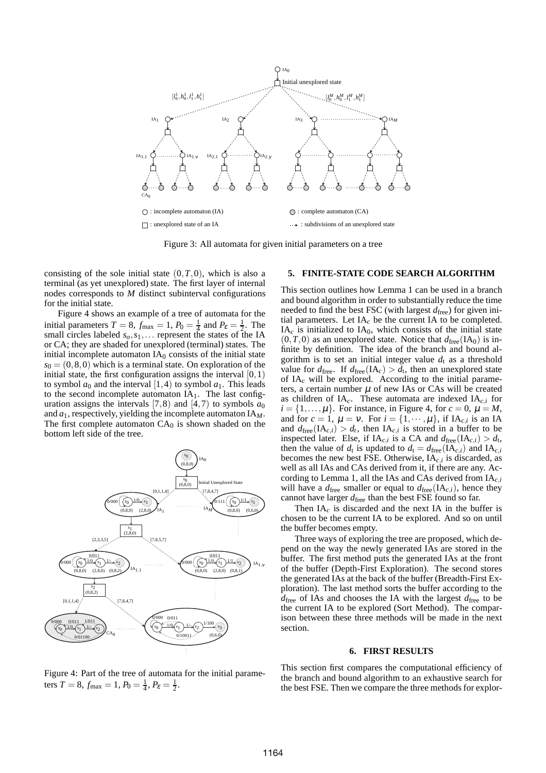

Figure 3: All automata for given initial parameters on a tree

consisting of the sole initial state  $(0, T, 0)$ , which is also a terminal (as yet unexplored) state. The first layer of internal nodes corresponds to *M* distinct subinterval configurations for the initial state.

Figure 4 shows an example of a tree of automata for the initial parameters  $T = 8$ ,  $f_{\text{max}} = 1$ ,  $P_0 = \frac{1}{4}$  and  $P_{\varepsilon} = \frac{1}{2}$ . The small circles labeled  $s_0, s_1, \ldots$  represent the states of the IA or CA; they are shaded for unexplored (terminal) states. The initial incomplete automaton  $IA<sub>0</sub>$  consists of the initial state  $s_0 = (0,8,0)$  which is a terminal state. On exploration of the initial state, the first configuration assigns the interval  $[0,1)$ to symbol  $a_0$  and the interval [1,4) to symbol  $a_1$ . This leads to the second incomplete automaton  $IA<sub>1</sub>$ . The last configuration assigns the intervals [7,8) and [4,7) to symbols  $a_0$ and *a*1, respectively, yielding the incomplete automaton IA*M*. The first complete automaton  $CA<sub>0</sub>$  is shown shaded on the bottom left side of the tree.



Figure 4: Part of the tree of automata for the initial parameters  $T = 8$ ,  $f_{\text{max}} = 1$ ,  $P_0 = \frac{1}{4}$ ,  $P_{\varepsilon} = \frac{1}{2}$ .

### **5. FINITE-STATE CODE SEARCH ALGORITHM**

This section outlines how Lemma 1 can be used in a branch and bound algorithm in order to substantially reduce the time needed to find the best FSC (with largest  $d_{\text{free}}$ ) for given initial parameters. Let  $IA<sub>c</sub>$  be the current IA to be completed.  $IA<sub>c</sub>$  is initialized to  $IA<sub>0</sub>$ , which consists of the initial state  $(0,T,0)$  as an unexplored state. Notice that  $d_{\text{free}}(IA_0)$  is infinite by definition. The idea of the branch and bound algorithm is to set an initial integer value  $d_t$  as a threshold value for  $d_{\text{free}}$ . If  $d_{\text{free}}(\text{IA}_c) > d_t$ , then an unexplored state of IA*<sup>c</sup>* will be explored. According to the initial parameters, a certain number  $\mu$  of new IAs or CAs will be created as children of  $IA<sub>c</sub>$ . These automata are indexed  $IA<sub>c</sub>$ *i* for  $i = \{1, \ldots, \mu\}$ . For instance, in Figure 4, for  $c = 0$ ,  $\mu = M$ , and for  $c = 1$ ,  $\mu = v$ . For  $i = \{1, \dots, \mu\}$ , if IA<sub>*c*,*i*</sub> is an IA and  $d_{\text{free}}(\text{IA}_{c,i}) > d_t$ , then  $\text{IA}_{c,i}$  is stored in a buffer to be inspected later. Else, if  $IA_{c,i}$  is a CA and  $d_{\text{free}}(IA_{c,i}) > d_t$ , then the value of  $d_t$  is updated to  $d_t = d_{\text{free}}(IA_{c,i})$  and  $IA_{c,i}$ becomes the new best FSE. Otherwise, IA*c*,*<sup>i</sup>* is discarded, as well as all IAs and CAs derived from it, if there are any. According to Lemma 1, all the IAs and CAs derived from IA*c*,*<sup>i</sup>* will have a  $d_{\text{free}}$  smaller or equal to  $d_{\text{free}}(IA_{c,i})$ , hence they cannot have larger  $d_{\text{free}}$  than the best FSE found so far.

Then  $IA<sub>c</sub>$  is discarded and the next IA in the buffer is chosen to be the current IA to be explored. And so on until the buffer becomes empty.

Three ways of exploring the tree are proposed, which depend on the way the newly generated IAs are stored in the buffer. The first method puts the generated IAs at the front of the buffer (Depth-First Exploration). The second stores the generated IAs at the back of the buffer (Breadth-First Exploration). The last method sorts the buffer according to the  $d_{\text{free}}$  of IAs and chooses the IA with the largest  $d_{\text{free}}$  to be the current IA to be explored (Sort Method). The comparison between these three methods will be made in the next section.

### **6. FIRST RESULTS**

This section first compares the computational efficiency of the branch and bound algorithm to an exhaustive search for the best FSE. Then we compare the three methods for explor